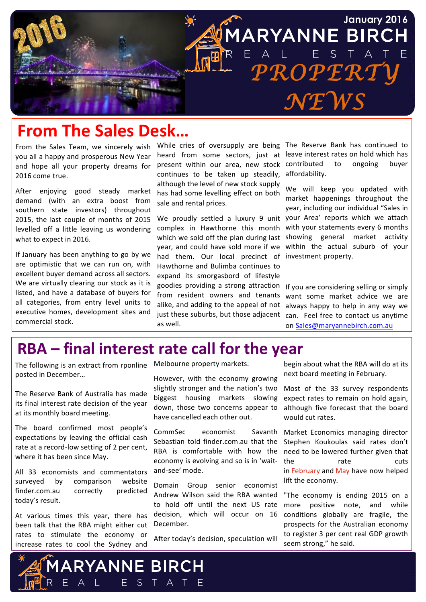

## **From The Sales Desk...**

From the Sales Team, we sincerely wish you all a happy and prosperous New Year and hope all your property dreams for 2016 come true.

After enjoying good steady market demand (with an extra boost from southern state investors) throughout 2015, the last couple of months of 2015 levelled off a little leaving us wondering what to expect in 2016.

If January has been anything to go by we are optimistic that we can run on, with excellent buyer demand across all sectors. We are virtually clearing our stock as it is listed, and have a database of buyers for all categories, from entry level units to executive homes, development sites and commercial stock.

present within our area, new stock continues to be taken up steadily, although the level of new stock supply has had some levelling effect on both sale and rental prices.

complex in Hawthorne this month with your statements every 6 months which we sold off the plan during last showing general market activity year, and could have sold more if we within the actual suburb of your had them. Our local precinct of investment property. Hawthorne and Bulimba continues to expand its smorgasbord of lifestyle goodies providing a strong attraction from resident owners and tenants alike, and adding to the appeal of not just these suburbs, but those adjacent can. Feel free to contact us anytime as well.

While cries of oversupply are being The Reserve Bank has continued to heard from some sectors, just at leave interest rates on hold which has contributed to ongoing buyer affordability.

We proudly settled a luxury 9 unit your Area' reports which we attach We will keep you updated with market happenings throughout the year, including our individual "Sales in

> If you are considering selling or simply want some market advice we are always happy to help in any way we on Sales@maryannebirch.com.au

## **RBA – final interest rate call for the year**

The following is an extract from rponline Melbourne property markets. posted in December...

The Reserve Bank of Australia has made its final interest rate decision of the year at its monthly board meeting.

The board confirmed most people's expectations by leaving the official cash rate at a record-low setting of 2 per cent, where it has been since May.

All 33 economists and commentators surveyed by comparison website finder.com.au correctly predicted today's result.

At various times this year, there has been talk that the RBA might either cut rates to stimulate the economy or increase rates to cool the Sydney and

**ARYANNE BIRCH** 

E S T A T E

However, with the economy growing slightly stronger and the nation's two biggest housing markets slowing down, those two concerns appear to have cancelled each other out.

CommSec economist Savanth Sebastian told finder.com.au that the RBA is comfortable with how the economy is evolving and so is in 'waitand-see' mode.

Domain Group senior economist Andrew Wilson said the RBA wanted to hold off until the next US rate decision, which will occur on 16 December.

After today's decision, speculation will

begin about what the RBA will do at its next board meeting in February.

Most of the 33 survey respondents expect rates to remain on hold again, although five forecast that the board would cut rates.

Market Economics managing director Stephen Koukoulas said rates don't need to be lowered further given that the rate cuts in February and May have now helped lift the economy.

"The economy is ending 2015 on a more positive note, and while conditions globally are fragile, the prospects for the Australian economy to register 3 per cent real GDP growth seem strong," he said.